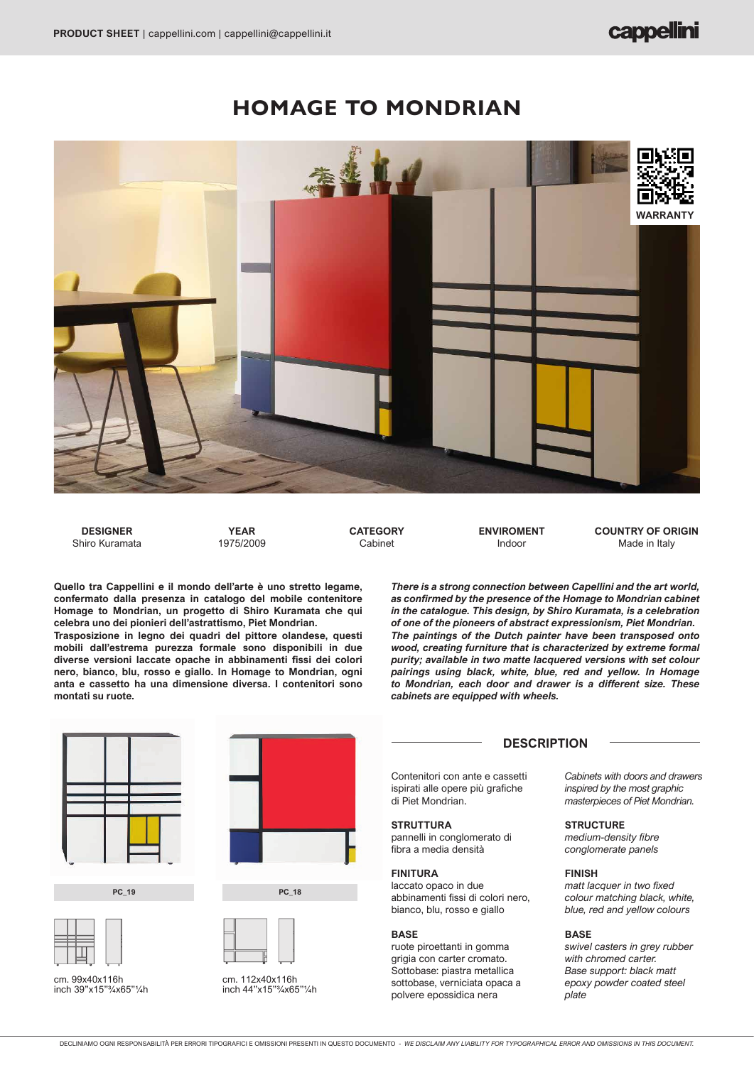# **HOMAGE TO MONDRIAN**



**DESIGNER**  Shiro Kuramata

**YEAR** 1975/2009 **CATEGORY** Cabinet

**ENVIROMENT** Indoor

**COUNTRY OF ORIGIN** Made in Italy

**Quello tra Cappellini e il mondo dell'arte è uno stretto legame, confermato dalla presenza in catalogo del mobile contenitore Homage to Mondrian, un progetto di Shiro Kuramata che qui celebra uno dei pionieri dell'astrattismo, Piet Mondrian.**

**Trasposizione in legno dei quadri del pittore olandese, questi mobili dall'estrema purezza formale sono disponibili in due diverse versioni laccate opache in abbinamenti fissi dei colori nero, bianco, blu, rosso e giallo. In Homage to Mondrian, ogni anta e cassetto ha una dimensione diversa. I contenitori sono montati su ruote.**

*There is a strong connection between Capellini and the art world, as confirmed by the presence of the Homage to Mondrian cabinet in the catalogue. This design, by Shiro Kuramata, is a celebration of one of the pioneers of abstract expressionism, Piet Mondrian. The paintings of the Dutch painter have been transposed onto wood, creating furniture that is characterized by extreme formal purity; available in two matte lacquered versions with set colour pairings using black, white, blue, red and yellow. In Homage to Mondrian, each door and drawer is a different size. These cabinets are equipped with wheels.*



**PC\_19**



cm. 99x40x116h inch 39"x15"3/4x65"1/4h







cm. 112x40x116h inch 44"x15"3/4x65"1/4h **DESCRIPTION**

Contenitori con ante e cassetti ispirati alle opere più grafiche di Piet Mondrian.

### **STRUTTURA**

pannelli in conglomerato di fibra a media densità

#### **FINITURA**

laccato opaco in due abbinamenti fissi di colori nero, bianco, blu, rosso e giallo

#### **BASE**

ruote piroettanti in gomma grigia con carter cromato. Sottobase: piastra metallica sottobase, verniciata opaca a polvere epossidica nera

*Cabinets with doors and drawers inspired by the most graphic masterpieces of Piet Mondrian.*

#### **STRUCTURE**

*medium-density fibre conglomerate panels*

#### **FINISH**

*matt lacquer in two fixed colour matching black, white, blue, red and yellow colours*

#### **BASE**

*swivel casters in grey rubber with chromed carter. Base support: black matt epoxy powder coated steel plate*